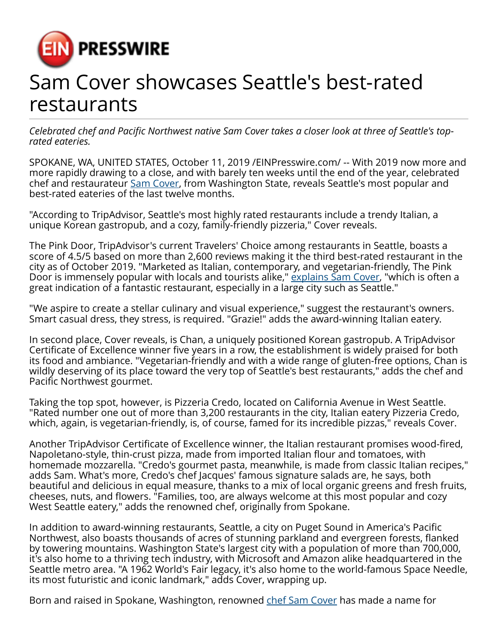

## Sam Cover showcases Seattle's best-rated restaurants

*Celebrated chef and Pacific Northwest native Sam Cover takes a closer look at three of Seattle's toprated eateries.*

SPOKANE, WA, UNITED STATES, October 11, 2019 /[EINPresswire.com/](http://www.einpresswire.com) -- With 2019 now more and more rapidly drawing to a close, and with barely ten weeks until the end of the year, celebrated chef and restaurateur [Sam Cover](https://samcover.co/sam-cover-explains-hyper-local-food-and-its-benefits/), from Washington State, reveals Seattle's most popular and best-rated eateries of the last twelve months.

"According to TripAdvisor, Seattle's most highly rated restaurants include a trendy Italian, a unique Korean gastropub, and a cozy, family-friendly pizzeria," Cover reveals.

The Pink Door, TripAdvisor's current Travelers' Choice among restaurants in Seattle, boasts a score of 4.5/5 based on more than 2,600 reviews making it the third best-rated restaurant in the city as of October 2019. "Marketed as Italian, contemporary, and vegetarian-friendly, The Pink Door is immensely popular with locals and tourists alike," [explains Sam Cover,](https://samcover.net/sam-cover-reveals-latest-luxury-food-trends/) "which is often a great indication of a fantastic restaurant, especially in a large city such as Seattle."

"We aspire to create a stellar culinary and visual experience," suggest the restaurant's owners. Smart casual dress, they stress, is required. "Grazie!" adds the award-winning Italian eatery.

In second place, Cover reveals, is Chan, a uniquely positioned Korean gastropub. A TripAdvisor Certificate of Excellence winner five years in a row, the establishment is widely praised for both its food and ambiance. "Vegetarian-friendly and with a wide range of gluten-free options, Chan is wildly deserving of its place toward the very top of Seattle's best restaurants," adds the chef and Pacific Northwest gourmet.

Taking the top spot, however, is Pizzeria Credo, located on California Avenue in West Seattle. "Rated number one out of more than 3,200 restaurants in the city, Italian eatery Pizzeria Credo, which, again, is vegetarian-friendly, is, of course, famed for its incredible pizzas," reveals Cover.

Another TripAdvisor Certificate of Excellence winner, the Italian restaurant promises wood-fired, Napoletano-style, thin-crust pizza, made from imported Italian flour and tomatoes, with homemade mozzarella. "Credo's gourmet pasta, meanwhile, is made from classic Italian recipes," adds Sam. What's more, Credo's chef Jacques' famous signature salads are, he says, both beautiful and delicious in equal measure, thanks to a mix of local organic greens and fresh fruits, cheeses, nuts, and flowers. "Families, too, are always welcome at this most popular and cozy West Seattle eatery," adds the renowned chef, originally from Spokane.

In addition to award-winning restaurants, Seattle, a city on Puget Sound in America's Pacific Northwest, also boasts thousands of acres of stunning parkland and evergreen forests, flanked by towering mountains. Washington State's largest city with a population of more than 700,000, it's also home to a thriving tech industry, with Microsoft and Amazon alike headquartered in the Seattle metro area. "A 1962 World's Fair legacy, it's also home to the world-famous Space Needle, its most futuristic and iconic landmark," adds Cover, wrapping up.

Born and raised in Spokane, Washington, renowned [chef Sam Cover](https://medium.com/@sam_cover) has made a name for